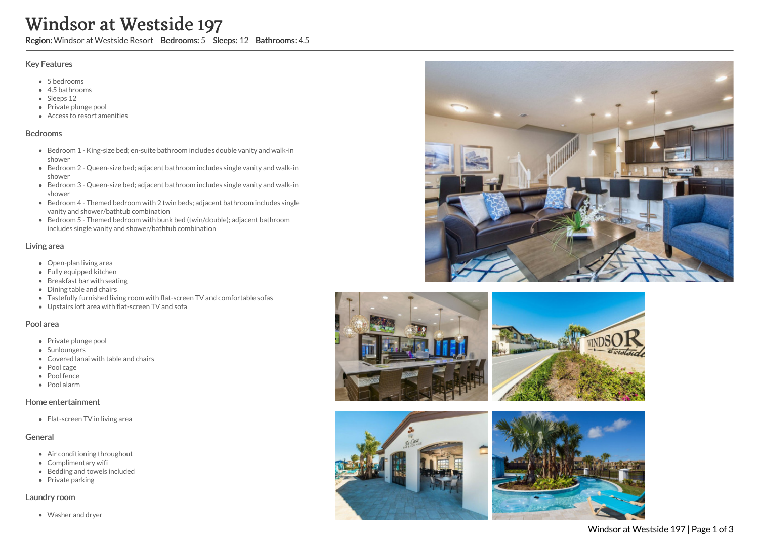# Windsor at Westside 197

Region: Windsor at Westside Resort Bedrooms: 5 Sleeps: 12 Bathrooms: 4.5

#### Key Features

- 5 bedrooms
- 4.5 bathrooms
- Sleeps 12
- Private plunge pool
- Access to resort amenities

#### Bedrooms

- Bedroom 1 King-size bed; en-suite bathroom includes double vanity and walk-in shower
- Bedroom 2 Queen-size bed; adjacent bathroom includes single vanity and walk-in shower
- Bedroom 3 Queen-size bed; adjacent bathroom includes single vanity and walk-in shower
- Bedroom 4 Themed bedroom with 2 twin beds; adjacent bathroom includes single vanity and shower/bathtub combination
- Bedroom 5 Themed bedroom with bunk bed (twin/double); adjacent bathroom includes single vanity and shower/bathtub combination

## Living area

- Open-plan living area
- Fully equipped kitchen
- Breakfast bar with seating
- Dining table and chairs
- Tastefully furnished living room with flat-screen TV and comfortable sofas
- Upstairs loft area with flat-screen TV and sofa

## Pool area

- Private plunge pool
- Sunloungers
- Covered lanai with table and chairs
- Pool cage
- Pool fence
- Pool alarm

## Home entertainment

• Flat-screen TV in living area

## General

- Air conditioning throughout
- Complimentary wifi
- Bedding and towels included
- Private parking

## Laundry room

Washer and dryer







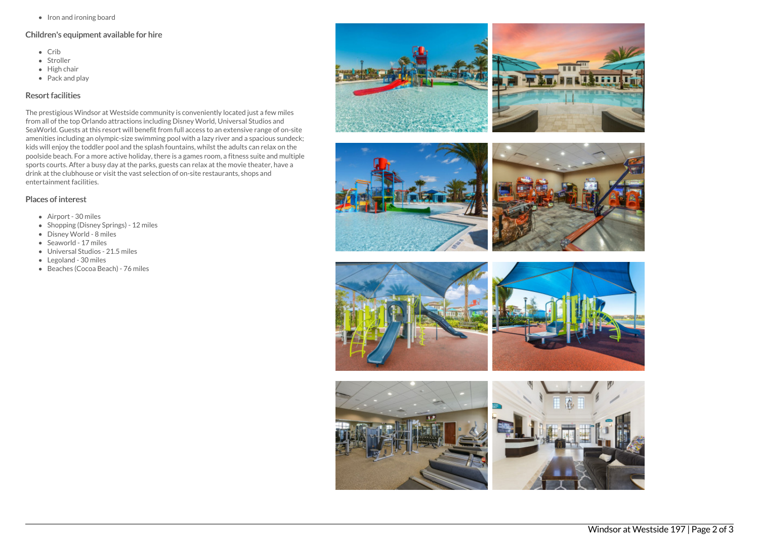• Iron and ironing board

# Children's equipment available for hire

- Crib
- Stroller
- $\bullet$  High chair
- Pack and play

## Resort facilities

The prestigious Windsor at Westside community is conveniently located just a few miles from all of the top Orlando attractions including Disney World, Universal Studios and SeaWorld. Guests at this resort will benefit from full access to an extensive range of on-site amenities including an olympic-size swimming pool with a lazy river and a spacious sundeck; kids will enjoy the toddler pool and the splash fountains, whilst the adults can relax on the poolside beach. For a more active holiday, there is a games room, a fitness suite and multiple sports courts. After a busy day at the parks, guests can relax at the movie theater, have a drink at the clubhouse or visit the vast selection of on-site restaurants, shops and entertainment facilities.

## Places of interest

- Airport 30 miles
- Shopping (Disney Springs) 12 miles
- Disney World 8 miles
- Seaworld 17 miles
- Universal Studios 21.5 miles
- Legoland 30 miles
- Beaches (Cocoa Beach) 76 miles